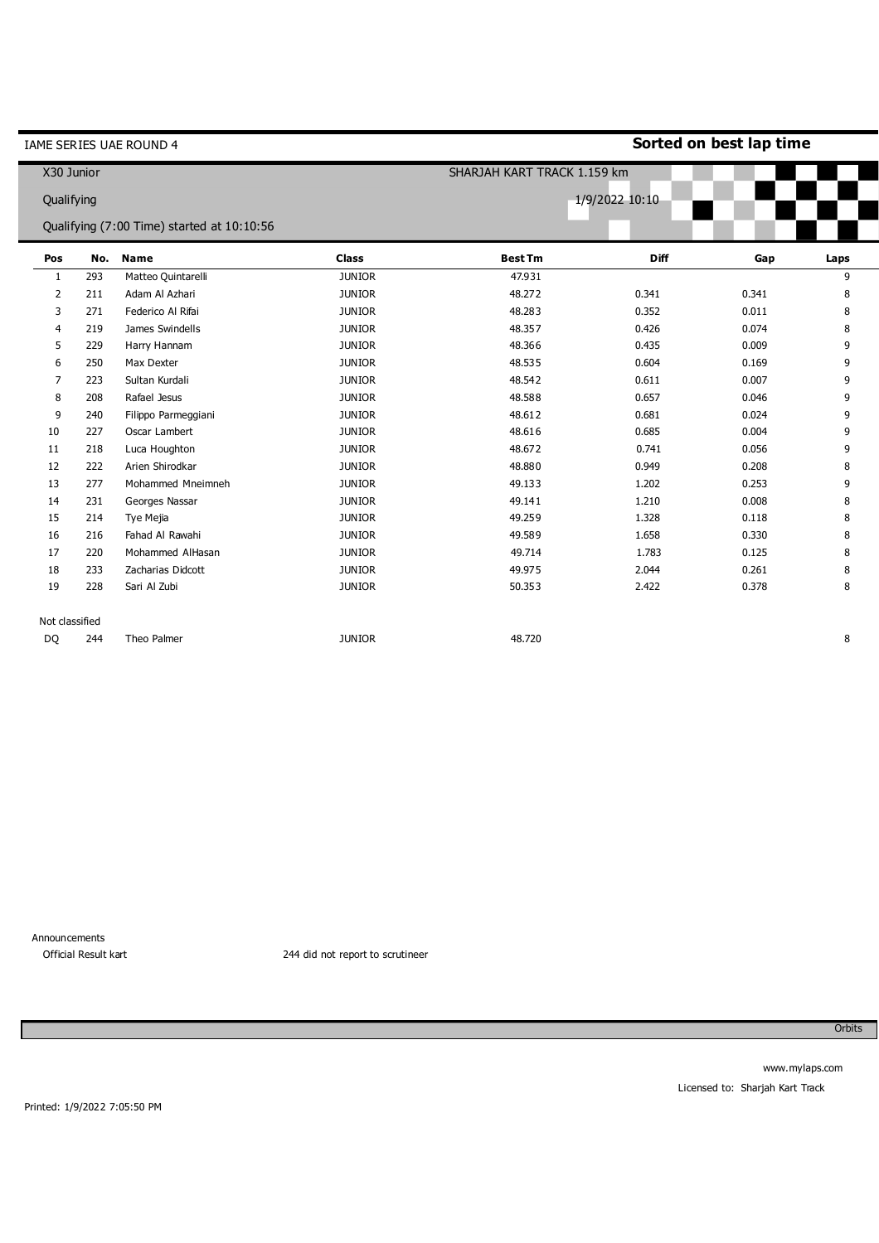|              |                | IAME SERIES UAE ROUND 4                    |               |                             |                | Sorted on best lap time |      |
|--------------|----------------|--------------------------------------------|---------------|-----------------------------|----------------|-------------------------|------|
|              | X30 Junior     |                                            |               | SHARJAH KART TRACK 1.159 km |                |                         |      |
|              | Qualifying     |                                            |               |                             | 1/9/2022 10:10 |                         |      |
|              |                | Qualifying (7:00 Time) started at 10:10:56 |               |                             |                |                         |      |
| Pos          | No.            | <b>Name</b>                                | <b>Class</b>  | <b>Best Tm</b>              | <b>Diff</b>    | Gap                     | Laps |
| $\mathbf{1}$ | 293            | Matteo Quintarelli                         | <b>JUNIOR</b> | 47.931                      |                |                         | 9    |
| 2            | 211            | Adam Al Azhari                             | <b>JUNIOR</b> | 48.272                      | 0.341          | 0.341                   | 8    |
| 3            | 271            | Federico Al Rifai                          | <b>JUNIOR</b> | 48.283                      | 0.352          | 0.011                   | 8    |
| 4            | 219            | James Swindells                            | <b>JUNIOR</b> | 48.357                      | 0.426          | 0.074                   | 8    |
| 5            | 229            | Harry Hannam                               | <b>JUNIOR</b> | 48.366                      | 0.435          | 0.009                   | 9    |
| 6            | 250            | Max Dexter                                 | <b>JUNIOR</b> | 48.535                      | 0.604          | 0.169                   | 9    |
| 7            | 223            | Sultan Kurdali                             | <b>JUNIOR</b> | 48.542                      | 0.611          | 0.007                   | 9    |
| 8            | 208            | Rafael Jesus                               | <b>JUNIOR</b> | 48.588                      | 0.657          | 0.046                   | 9    |
| 9            | 240            | Filippo Parmeggiani                        | <b>JUNIOR</b> | 48.612                      | 0.681          | 0.024                   | 9    |
| 10           | 227            | Oscar Lambert                              | <b>JUNIOR</b> | 48.616                      | 0.685          | 0.004                   | 9    |
| 11           | 218            | Luca Houghton                              | <b>JUNIOR</b> | 48.672                      | 0.741          | 0.056                   | 9    |
| 12           | 222            | Arien Shirodkar                            | <b>JUNIOR</b> | 48,880                      | 0.949          | 0.208                   | 8    |
| 13           | 277            | Mohammed Mneimneh                          | <b>JUNIOR</b> | 49.133                      | 1.202          | 0.253                   | 9    |
| 14           | 231            | Georges Nassar                             | <b>JUNIOR</b> | 49.141                      | 1.210          | 0.008                   | 8    |
| 15           | 214            | Tye Mejia                                  | <b>JUNIOR</b> | 49.259                      | 1.328          | 0.118                   | 8    |
| 16           | 216            | Fahad Al Rawahi                            | <b>JUNIOR</b> | 49.589                      | 1.658          | 0.330                   | 8    |
| 17           | 220            | Mohammed AlHasan                           | <b>JUNIOR</b> | 49.714                      | 1.783          | 0.125                   | 8    |
| 18           | 233            | Zacharias Didcott                          | <b>JUNIOR</b> | 49.975                      | 2.044          | 0.261                   | 8    |
| 19           | 228            | Sari Al Zubi                               | <b>JUNIOR</b> | 50.353                      | 2.422          | 0.378                   | 8    |
|              | Not classified |                                            |               |                             |                |                         |      |
| DQ           | 244            | Theo Palmer                                | <b>JUNIOR</b> | 48.720                      |                |                         | 8    |
|              |                |                                            |               |                             |                |                         |      |

 $\blacksquare$ 

i

0 Official Result kart 244 did not report to scrutineer

Orbits

Printed: 1/9/2022 7:05:50 PM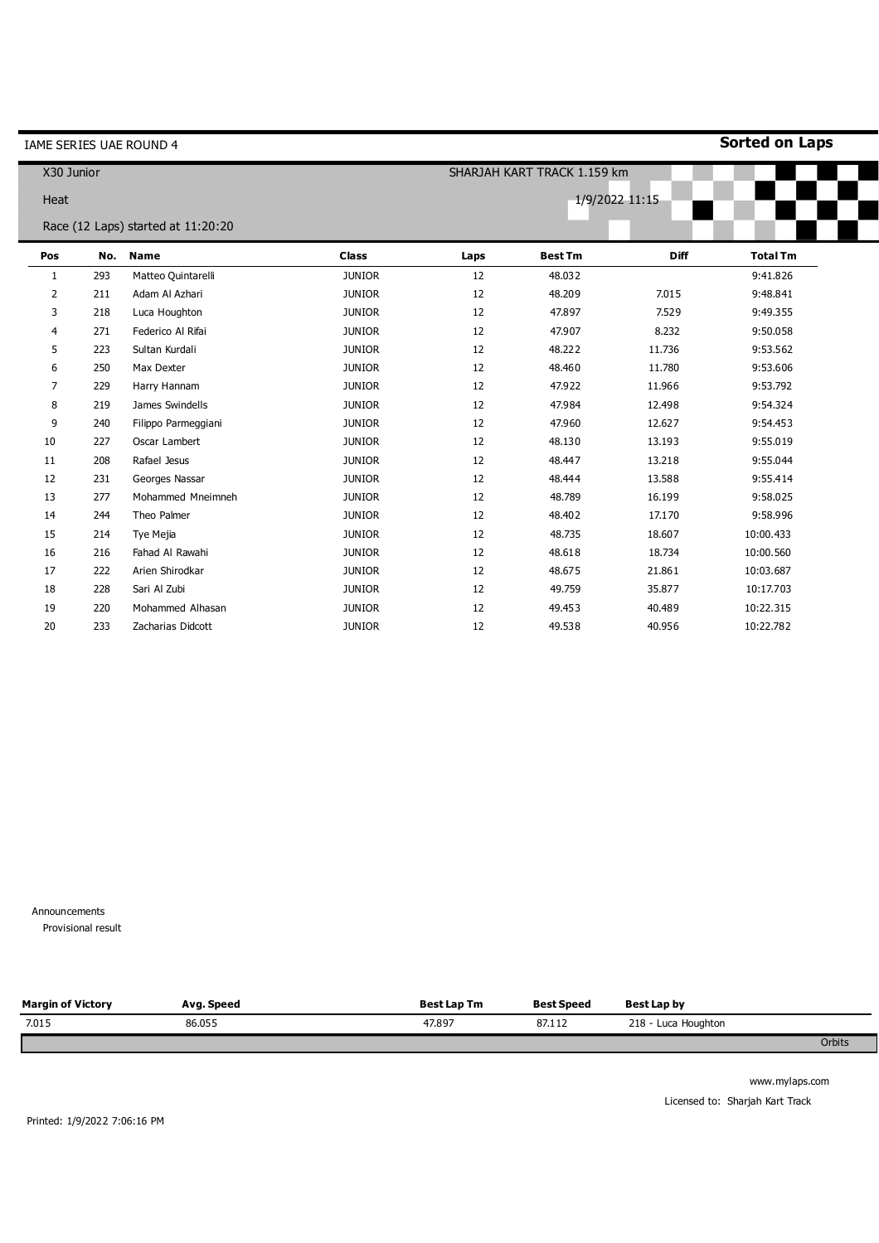|              |     | IAME SERIES UAE ROUND 4            |                             |      |                |                | <b>Sorted on Laps</b> |
|--------------|-----|------------------------------------|-----------------------------|------|----------------|----------------|-----------------------|
| X30 Junior   |     |                                    | SHARJAH KART TRACK 1.159 km |      |                |                |                       |
| Heat         |     |                                    |                             |      |                | 1/9/2022 11:15 |                       |
|              |     | Race (12 Laps) started at 11:20:20 |                             |      |                |                |                       |
| Pos          | No. | <b>Name</b>                        | <b>Class</b>                | Laps | <b>Best Tm</b> | Diff           | <b>Total Tm</b>       |
| $\mathbf{1}$ | 293 | Matteo Quintarelli                 | <b>JUNIOR</b>               | 12   | 48.032         |                | 9:41.826              |
| 2            | 211 | Adam Al Azhari                     | <b>JUNIOR</b>               | 12   | 48.209         | 7.015          | 9:48.841              |
| 3            | 218 | Luca Houghton                      | <b>JUNIOR</b>               | 12   | 47.897         | 7.529          | 9:49.355              |
| 4            | 271 | Federico Al Rifai                  | <b>JUNIOR</b>               | 12   | 47.907         | 8.232          | 9:50.058              |
| 5            | 223 | Sultan Kurdali                     | <b>JUNIOR</b>               | 12   | 48.222         | 11.736         | 9:53.562              |
| 6            | 250 | Max Dexter                         | <b>JUNIOR</b>               | 12   | 48.460         | 11.780         | 9:53.606              |
| 7            | 229 | Harry Hannam                       | <b>JUNIOR</b>               | 12   | 47.922         | 11.966         | 9:53.792              |
| 8            | 219 | James Swindells                    | <b>JUNIOR</b>               | 12   | 47.984         | 12.498         | 9:54.324              |
| 9            | 240 | Filippo Parmeggiani                | <b>JUNIOR</b>               | 12   | 47.960         | 12.627         | 9:54.453              |
| 10           | 227 | Oscar Lambert                      | <b>JUNIOR</b>               | 12   | 48.130         | 13.193         | 9:55.019              |
| 11           | 208 | Rafael Jesus                       | <b>JUNIOR</b>               | 12   | 48.447         | 13.218         | 9:55.044              |
| 12           | 231 | Georges Nassar                     | <b>JUNIOR</b>               | 12   | 48.444         | 13.588         | 9:55.414              |
| 13           | 277 | Mohammed Mneimneh                  | <b>JUNIOR</b>               | 12   | 48.789         | 16.199         | 9:58.025              |
| 14           | 244 | Theo Palmer                        | <b>JUNIOR</b>               | 12   | 48.402         | 17.170         | 9:58.996              |
| 15           | 214 | Tye Mejia                          | <b>JUNIOR</b>               | 12   | 48.735         | 18.607         | 10:00.433             |
| 16           | 216 | Fahad Al Rawahi                    | <b>JUNIOR</b>               | 12   | 48.618         | 18.734         | 10:00.560             |
| 17           | 222 | Arien Shirodkar                    | <b>JUNIOR</b>               | 12   | 48.675         | 21.861         | 10:03.687             |
| 18           | 228 | Sari Al Zubi                       | <b>JUNIOR</b>               | 12   | 49.759         | 35.877         | 10:17.703             |
| 19           | 220 | Mohammed Alhasan                   | <b>JUNIOR</b>               | 12   | 49.453         | 40.489         | 10:22.315             |
| 20           | 233 | Zacharias Didcott                  | <b>JUNIOR</b>               | 12   | 49.538         | 40.956         | 10:22.782             |

Provisional result

| <b>Margin of Victory</b> | Avg. Speed | <b>Best Lap Tm</b> | <b>Best Speed</b> | Best Lap by         |
|--------------------------|------------|--------------------|-------------------|---------------------|
| 7.015                    | 86.055     | 47.897             | 87.112            | 218 - Luca Houghton |
|                          |            |                    |                   | Orbits              |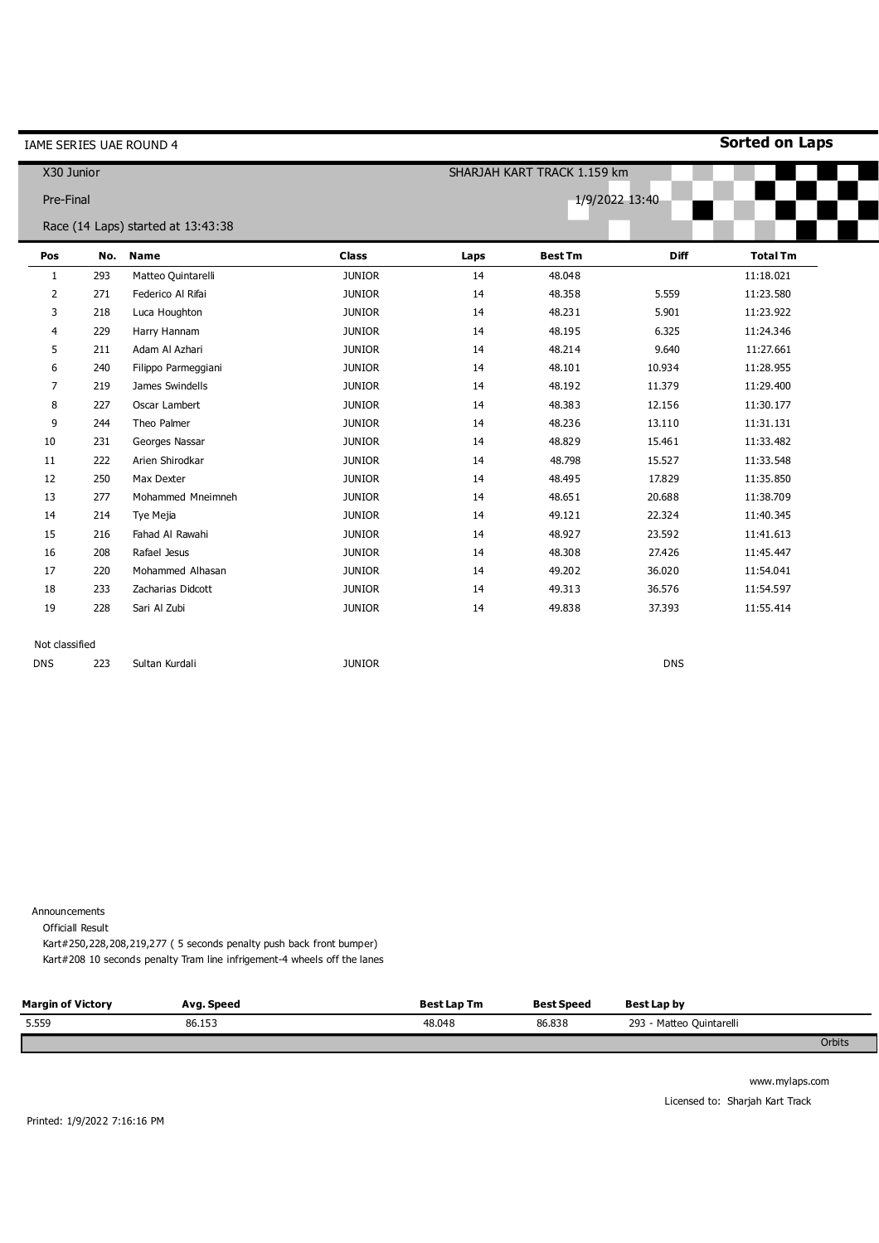| IAME SERIES UAE ROUND 4 |     |                                    |               |      |                             | <b>Sorted on Laps</b> |                 |
|-------------------------|-----|------------------------------------|---------------|------|-----------------------------|-----------------------|-----------------|
| X30 Junior              |     |                                    |               |      | SHARJAH KART TRACK 1.159 km |                       |                 |
| Pre-Final               |     |                                    |               |      |                             | 1/9/2022 13:40        |                 |
|                         |     | Race (14 Laps) started at 13:43:38 |               |      |                             |                       |                 |
| Pos                     | No. | <b>Name</b>                        | <b>Class</b>  | Laps | <b>Best Tm</b>              | <b>Diff</b>           | <b>Total Tm</b> |
| 1                       | 293 | Matteo Quintarelli                 | <b>JUNIOR</b> | 14   | 48.048                      |                       | 11:18.021       |
| $\overline{2}$          | 271 | Federico Al Rifai                  | <b>JUNIOR</b> | 14   | 48.358                      | 5.559                 | 11:23.580       |
| 3                       | 218 | Luca Houghton                      | <b>JUNIOR</b> | 14   | 48.231                      | 5.901                 | 11:23.922       |
| 4                       | 229 | Harry Hannam                       | <b>JUNIOR</b> | 14   | 48.195                      | 6.325                 | 11:24.346       |
| 5                       | 211 | Adam Al Azhari                     | <b>JUNIOR</b> | 14   | 48.214                      | 9.640                 | 11:27.661       |
| 6                       | 240 | Filippo Parmeggiani                | <b>JUNIOR</b> | 14   | 48.101                      | 10.934                | 11:28.955       |
| 7                       | 219 | James Swindells                    | <b>JUNIOR</b> | 14   | 48.192                      | 11.379                | 11:29.400       |
| 8                       | 227 | Oscar Lambert                      | <b>JUNIOR</b> | 14   | 48.383                      | 12.156                | 11:30.177       |
| 9                       | 244 | Theo Palmer                        | <b>JUNIOR</b> | 14   | 48.236                      | 13.110                | 11:31.131       |
| 10                      | 231 | Georges Nassar                     | <b>JUNIOR</b> | 14   | 48.829                      | 15.461                | 11:33.482       |
| 11                      | 222 | Arien Shirodkar                    | <b>JUNIOR</b> | 14   | 48.798                      | 15.527                | 11:33.548       |
| 12                      | 250 | Max Dexter                         | <b>JUNIOR</b> | 14   | 48.495                      | 17.829                | 11:35.850       |
| 13                      | 277 | Mohammed Mneimneh                  | <b>JUNIOR</b> | 14   | 48.651                      | 20.688                | 11:38.709       |
| 14                      | 214 | Tye Mejia                          | <b>JUNIOR</b> | 14   | 49.121                      | 22.324                | 11:40.345       |
| 15                      | 216 | Fahad Al Rawahi                    | <b>JUNIOR</b> | 14   | 48.927                      | 23.592                | 11:41.613       |
| 16                      | 208 | Rafael Jesus                       | <b>JUNIOR</b> | 14   | 48.308                      | 27.426                | 11:45.447       |
| 17                      | 220 | Mohammed Alhasan                   | <b>JUNIOR</b> | 14   | 49.202                      | 36.020                | 11:54.041       |
| 18                      | 233 | Zacharias Didcott                  | <b>JUNIOR</b> | 14   | 49.313                      | 36.576                | 11:54.597       |
| 19                      | 228 | Sari Al Zubi                       | <b>JUNIOR</b> | 14   | 49.838                      | 37.393                | 11:55.414       |
| Not classified          |     |                                    |               |      |                             |                       |                 |
| <b>DNS</b>              | 223 | Sultan Kurdali                     | <b>JUNIOR</b> |      |                             | <b>DNS</b>            |                 |

Officiall Result

Kart#250,228,208,219,277 ( 5 seconds penalty push back front bumper) Kart#208 10 seconds penalty Tram line infrigement-4 wheels off the lanes

| <b>Margin of Victory</b> | Avg. Speed | <b>Best Lap Tm</b> | <b>Best Speed</b> | Best Lap by              |        |
|--------------------------|------------|--------------------|-------------------|--------------------------|--------|
| 5.559                    | 86.153     | 48.048             | 86.838            | 293 - Matteo Quintarelli |        |
|                          |            |                    |                   |                          | Orbits |